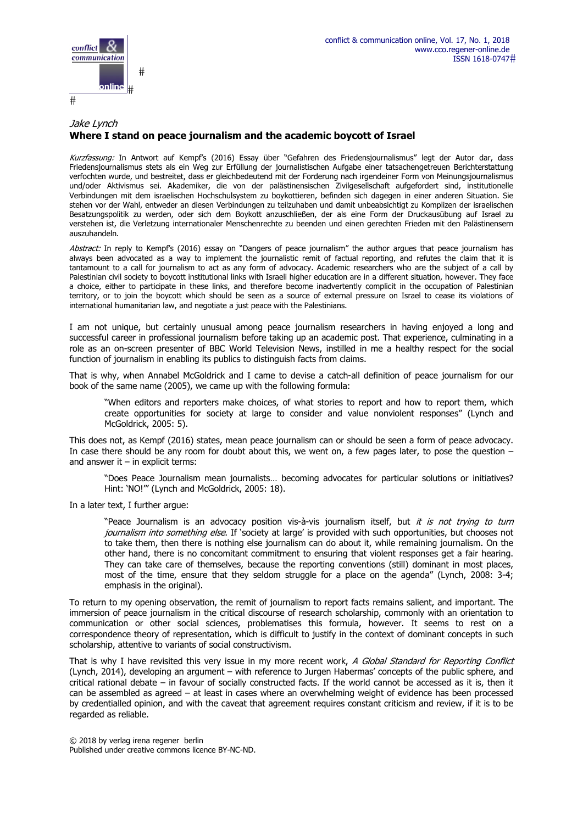

## Jake Lynch **Where I stand on peace journalism and the academic boycott of Israel**

Kurzfassung: In Antwort auf Kempf's (2016) Essay über "Gefahren des Friedensjournalismus" legt der Autor dar, dass Friedensjournalismus stets als ein Weg zur Erfüllung der journalistischen Aufgabe einer tatsachengetreuen Berichterstattung verfochten wurde, und bestreitet, dass er gleichbedeutend mit der Forderung nach irgendeiner Form von Meinungsjournalismus und/oder Aktivismus sei. Akademiker, die von der palästinensischen Zivilgesellschaft aufgefordert sind, institutionelle Verbindungen mit dem israelischen Hochschulsystem zu boykottieren, befinden sich dagegen in einer anderen Situation. Sie stehen vor der Wahl, entweder an diesen Verbindungen zu teilzuhaben und damit unbeabsichtigt zu Komplizen der israelischen Besatzungspolitik zu werden, oder sich dem Boykott anzuschließen, der als eine Form der Druckausübung auf Israel zu verstehen ist, die Verletzung internationaler Menschenrechte zu beenden und einen gerechten Frieden mit den Palästinensern auszuhandeln.

Abstract: In reply to Kempf's (2016) essay on "Dangers of peace journalism" the author argues that peace journalism has always been advocated as a way to implement the journalistic remit of factual reporting, and refutes the claim that it is tantamount to a call for journalism to act as any form of advocacy. Academic researchers who are the subject of a call by Palestinian civil society to boycott institutional links with Israeli higher education are in a different situation, however. They face a choice, either to participate in these links, and therefore become inadvertently complicit in the occupation of Palestinian territory, or to join the boycott which should be seen as a source of external pressure on Israel to cease its violations of international humanitarian law, and negotiate a just peace with the Palestinians.

I am not unique, but certainly unusual among peace journalism researchers in having enjoyed a long and successful career in professional journalism before taking up an academic post. That experience, culminating in a role as an on-screen presenter of BBC World Television News, instilled in me a healthy respect for the social function of journalism in enabling its publics to distinguish facts from claims.

That is why, when Annabel McGoldrick and I came to devise a catch-all definition of peace journalism for our book of the same name (2005), we came up with the following formula:

"When editors and reporters make choices, of what stories to report and how to report them, which create opportunities for society at large to consider and value nonviolent responses" (Lynch and McGoldrick, 2005: 5).

This does not, as Kempf (2016) states, mean peace journalism can or should be seen a form of peace advocacy. In case there should be any room for doubt about this, we went on, a few pages later, to pose the question – and answer it  $-$  in explicit terms:

"Does Peace Journalism mean journalists… becoming advocates for particular solutions or initiatives? Hint: 'NO!'" (Lynch and McGoldrick, 2005: 18).

In a later text, I further argue:

"Peace Journalism is an advocacy position vis-à-vis journalism itself, but it is not trying to turn journalism into something else. If 'society at large' is provided with such opportunities, but chooses not to take them, then there is nothing else journalism can do about it, while remaining journalism. On the other hand, there is no concomitant commitment to ensuring that violent responses get a fair hearing. They can take care of themselves, because the reporting conventions (still) dominant in most places, most of the time, ensure that they seldom struggle for a place on the agenda" (Lynch, 2008: 3-4; emphasis in the original).

To return to my opening observation, the remit of journalism to report facts remains salient, and important. The immersion of peace journalism in the critical discourse of research scholarship, commonly with an orientation to communication or other social sciences, problematises this formula, however. It seems to rest on a correspondence theory of representation, which is difficult to justify in the context of dominant concepts in such scholarship, attentive to variants of social constructivism.

That is why I have revisited this very issue in my more recent work, A Global Standard for Reporting Conflict (Lynch, 2014), developing an argument – with reference to Jurgen Habermas' concepts of the public sphere, and critical rational debate – in favour of socially constructed facts. If the world cannot be accessed as it is, then it can be assembled as agreed – at least in cases where an overwhelming weight of evidence has been processed by credentialled opinion, and with the caveat that agreement requires constant criticism and review, if it is to be regarded as reliable.

© 2018 by verlag irena regener berlin Published under creative commons licence BY-NC-ND.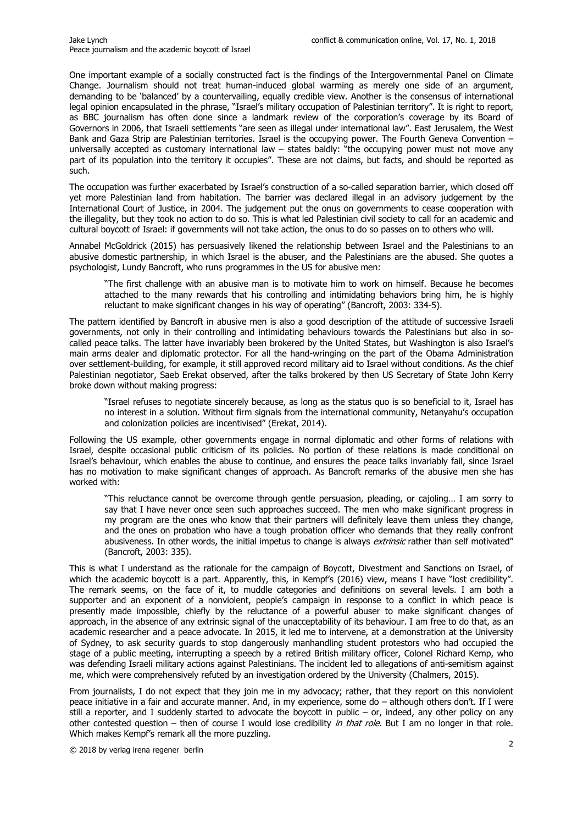One important example of a socially constructed fact is the findings of the Intergovernmental Panel on Climate Change. Journalism should not treat human-induced global warming as merely one side of an argument, demanding to be 'balanced' by a countervailing, equally credible view. Another is the consensus of international legal opinion encapsulated in the phrase, "Israel's military occupation of Palestinian territory". It is right to report, as BBC journalism has often done since a landmark review of the corporation's coverage by its Board of Governors in 2006, that Israeli settlements "are seen as illegal under international law". East Jerusalem, the West Bank and Gaza Strip are Palestinian territories. Israel is the occupying power. The Fourth Geneva Convention – universally accepted as customary international law – states baldly: "the occupying power must not move any part of its population into the territory it occupies". These are not claims, but facts, and should be reported as such.

The occupation was further exacerbated by Israel's construction of a so-called separation barrier, which closed off yet more Palestinian land from habitation. The barrier was declared illegal in an advisory judgement by the International Court of Justice, in 2004. The judgement put the onus on governments to cease cooperation with the illegality, but they took no action to do so. This is what led Palestinian civil society to call for an academic and cultural boycott of Israel: if governments will not take action, the onus to do so passes on to others who will.

Annabel McGoldrick (2015) has persuasively likened the relationship between Israel and the Palestinians to an abusive domestic partnership, in which Israel is the abuser, and the Palestinians are the abused. She quotes a psychologist, Lundy Bancroft, who runs programmes in the US for abusive men:

"The first challenge with an abusive man is to motivate him to work on himself. Because he becomes attached to the many rewards that his controlling and intimidating behaviors bring him, he is highly reluctant to make significant changes in his way of operating" (Bancroft, 2003: 334-5).

The pattern identified by Bancroft in abusive men is also a good description of the attitude of successive Israeli governments, not only in their controlling and intimidating behaviours towards the Palestinians but also in socalled peace talks. The latter have invariably been brokered by the United States, but Washington is also Israel's main arms dealer and diplomatic protector. For all the hand-wringing on the part of the Obama Administration over settlement-building, for example, it still approved record military aid to Israel without conditions. As the chief Palestinian negotiator, Saeb Erekat observed, after the talks brokered by then US Secretary of State John Kerry broke down without making progress:

"Israel refuses to negotiate sincerely because, as long as the status quo is so beneficial to it, Israel has no interest in a solution. Without firm signals from the international community, Netanyahu's occupation and colonization policies are incentivised" (Erekat, 2014).

Following the US example, other governments engage in normal diplomatic and other forms of relations with Israel, despite occasional public criticism of its policies. No portion of these relations is made conditional on Israel's behaviour, which enables the abuse to continue, and ensures the peace talks invariably fail, since Israel has no motivation to make significant changes of approach. As Bancroft remarks of the abusive men she has worked with:

"This reluctance cannot be overcome through gentle persuasion, pleading, or cajoling… I am sorry to say that I have never once seen such approaches succeed. The men who make significant progress in my program are the ones who know that their partners will definitely leave them unless they change, and the ones on probation who have a tough probation officer who demands that they really confront abusiveness. In other words, the initial impetus to change is always extrinsic rather than self motivated" (Bancroft, 2003: 335).

This is what I understand as the rationale for the campaign of Boycott, Divestment and Sanctions on Israel, of which the academic boycott is a part. Apparently, this, in Kempf's (2016) view, means I have "lost credibility". The remark seems, on the face of it, to muddle categories and definitions on several levels. I am both a supporter and an exponent of a nonviolent, people's campaign in response to a conflict in which peace is presently made impossible, chiefly by the reluctance of a powerful abuser to make significant changes of approach, in the absence of any extrinsic signal of the unacceptability of its behaviour. I am free to do that, as an academic researcher and a peace advocate. In 2015, it led me to intervene, at a demonstration at the University of Sydney, to ask security guards to stop dangerously manhandling student protestors who had occupied the stage of a public meeting, interrupting a speech by a retired British military officer, Colonel Richard Kemp, who was defending Israeli military actions against Palestinians. The incident led to allegations of anti-semitism against me, which were comprehensively refuted by an investigation ordered by the University (Chalmers, 2015).

From journalists, I do not expect that they join me in my advocacy; rather, that they report on this nonviolent peace initiative in a fair and accurate manner. And, in my experience, some do – although others don't. If I were still a reporter, and I suddenly started to advocate the boycott in public – or, indeed, any other policy on any other contested question – then of course I would lose credibility in that role. But I am no longer in that role. Which makes Kempf's remark all the more puzzling.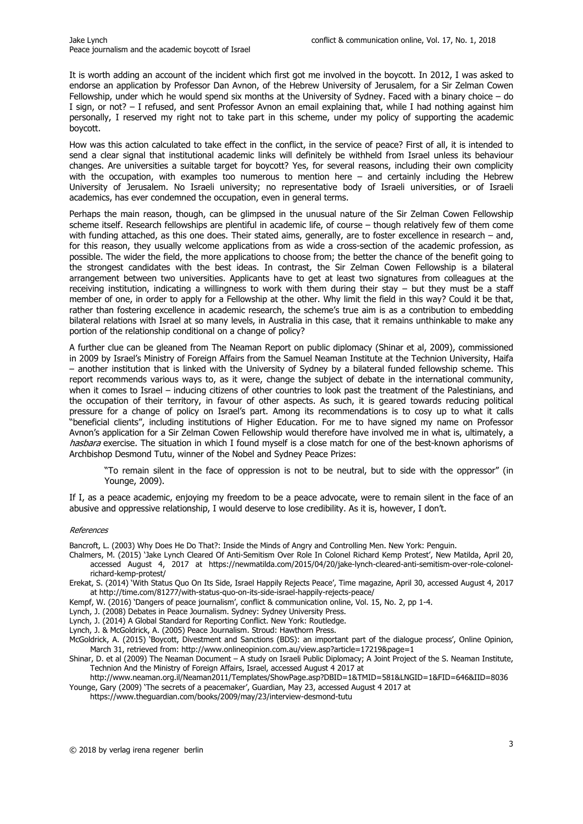It is worth adding an account of the incident which first got me involved in the boycott. In 2012, I was asked to endorse an application by Professor Dan Avnon, of the Hebrew University of Jerusalem, for a Sir Zelman Cowen Fellowship, under which he would spend six months at the University of Sydney. Faced with a binary choice – do I sign, or not? – I refused, and sent Professor Avnon an email explaining that, while I had nothing against him personally, I reserved my right not to take part in this scheme, under my policy of supporting the academic boycott.

How was this action calculated to take effect in the conflict, in the service of peace? First of all, it is intended to send a clear signal that institutional academic links will definitely be withheld from Israel unless its behaviour changes. Are universities a suitable target for boycott? Yes, for several reasons, including their own complicity with the occupation, with examples too numerous to mention here – and certainly including the Hebrew University of Jerusalem. No Israeli university; no representative body of Israeli universities, or of Israeli academics, has ever condemned the occupation, even in general terms.

Perhaps the main reason, though, can be glimpsed in the unusual nature of the Sir Zelman Cowen Fellowship scheme itself. Research fellowships are plentiful in academic life, of course – though relatively few of them come with funding attached, as this one does. Their stated aims, generally, are to foster excellence in research – and, for this reason, they usually welcome applications from as wide a cross-section of the academic profession, as possible. The wider the field, the more applications to choose from; the better the chance of the benefit going to the strongest candidates with the best ideas. In contrast, the Sir Zelman Cowen Fellowship is a bilateral arrangement between two universities. Applicants have to get at least two signatures from colleagues at the receiving institution, indicating a willingness to work with them during their stay – but they must be a staff member of one, in order to apply for a Fellowship at the other. Why limit the field in this way? Could it be that, rather than fostering excellence in academic research, the scheme's true aim is as a contribution to embedding bilateral relations with Israel at so many levels, in Australia in this case, that it remains unthinkable to make any portion of the relationship conditional on a change of policy?

A further clue can be gleaned from The Neaman Report on public diplomacy (Shinar et al, 2009), commissioned in 2009 by Israel's Ministry of Foreign Affairs from the Samuel Neaman Institute at the Technion University, Haifa – another institution that is linked with the University of Sydney by a bilateral funded fellowship scheme. This report recommends various ways to, as it were, change the subject of debate in the international community, when it comes to Israel – inducing citizens of other countries to look past the treatment of the Palestinians, and the occupation of their territory, in favour of other aspects. As such, it is geared towards reducing political pressure for a change of policy on Israel's part. Among its recommendations is to cosy up to what it calls "beneficial clients", including institutions of Higher Education. For me to have signed my name on Professor Avnon's application for a Sir Zelman Cowen Fellowship would therefore have involved me in what is, ultimately, a hasbara exercise. The situation in which I found myself is a close match for one of the best-known aphorisms of Archbishop Desmond Tutu, winner of the Nobel and Sydney Peace Prizes:

"To remain silent in the face of oppression is not to be neutral, but to side with the oppressor" (in Younge, 2009).

If I, as a peace academic, enjoying my freedom to be a peace advocate, were to remain silent in the face of an abusive and oppressive relationship, I would deserve to lose credibility. As it is, however, I don't.

## References

Bancroft, L. (2003) Why Does He Do That?: Inside the Minds of Angry and Controlling Men. New York: Penguin.

- Chalmers, M. (2015) 'Jake Lynch Cleared Of Anti-Semitism Over Role In Colonel Richard Kemp Protest', New Matilda, April 20, accessed August 4, 2017 at https://newmatilda.com/2015/04/20/jake-lynch-cleared-anti-semitism-over-role-colonelrichard-kemp-protest/
- Erekat, S. (2014) 'With Status Quo On Its Side, Israel Happily Rejects Peace', Time magazine, April 30, accessed August 4, 2017 at http://time.com/81277/with-status-quo-on-its-side-israel-happily-rejects-peace/
- Kempf, W. (2016) 'Dangers of peace journalism', conflict & communication online, Vol. 15, No. 2, pp 1-4.
- Lynch, J. (2008) Debates in Peace Journalism. Sydney: Sydney University Press.
- Lynch, J. (2014) A Global Standard for Reporting Conflict. New York: Routledge.
- Lynch, J. & McGoldrick, A. (2005) Peace Journalism. Stroud: Hawthorn Press.
- McGoldrick, A. (2015) 'Boycott, Divestment and Sanctions (BDS): an important part of the dialogue process', Online Opinion, March 31, retrieved from: http://www.onlineopinion.com.au/view.asp?article=17219&page=1
- Shinar, D. et al (2009) The Neaman Document A study on Israeli Public Diplomacy; A Joint Project of the S. Neaman Institute, Technion And the Ministry of Foreign Affairs, Israel, accessed August 4 2017 at
- http://www.neaman.org.il/Neaman2011/Templates/ShowPage.asp?DBID=1&TMID=581&LNGID=1&FID=646&IID=8036 Younge, Gary (2009) 'The secrets of a peacemaker', Guardian, May 23, accessed August 4 2017 at
	- https://www.theguardian.com/books/2009/may/23/interview-desmond-tutu